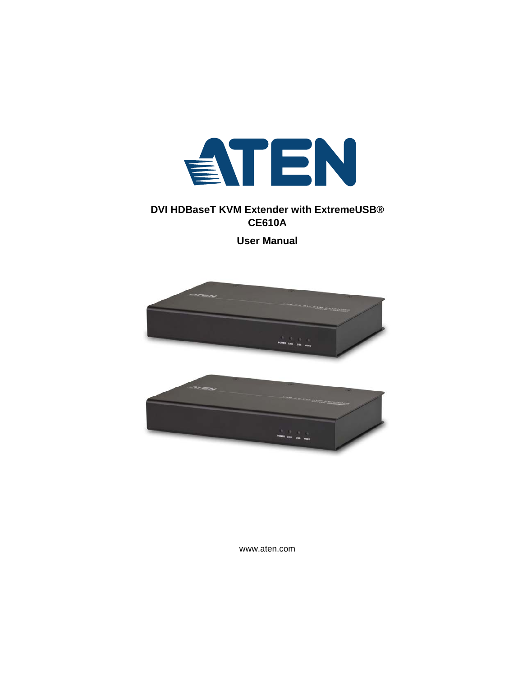

### **DVI HDBaseT KVM Extender with ExtremeUSB® CE610A**

**User Manual**



www.aten.com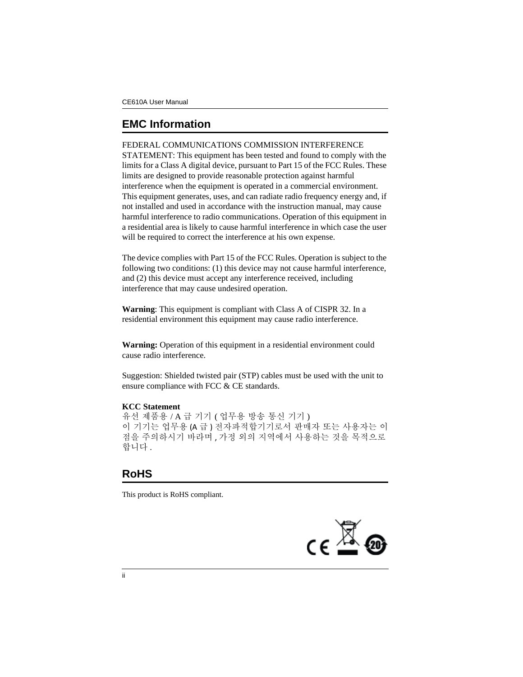## <span id="page-1-0"></span>**EMC Information**

FEDERAL COMMUNICATIONS COMMISSION INTERFERENCE STATEMENT: This equipment has been tested and found to comply with the limits for a Class A digital device, pursuant to Part 15 of the FCC Rules. These limits are designed to provide reasonable protection against harmful interference when the equipment is operated in a commercial environment. This equipment generates, uses, and can radiate radio frequency energy and, if not installed and used in accordance with the instruction manual, may cause harmful interference to radio communications. Operation of this equipment in a residential area is likely to cause harmful interference in which case the user will be required to correct the interference at his own expense.

The device complies with Part 15 of the FCC Rules. Operation is subject to the following two conditions: (1) this device may not cause harmful interference, and (2) this device must accept any interference received, including interference that may cause undesired operation.

**Warning**: This equipment is compliant with Class A of CISPR 32. In a residential environment this equipment may cause radio interference.

**Warning:** Operation of this equipment in a residential environment could cause radio interference.

Suggestion: Shielded twisted pair (STP) cables must be used with the unit to ensure compliance with FCC & CE standards.

#### **KCC Statement**

유선 제품용 / A 급 기기 ( 업무용 방송 통신 기기 ) 이 기기는 업무용 (A 급 ) 전자파적합기기로서 판매자 또는 사용자는 이 점을 주의하시기 바라며 , 가정 외의 지역에서 사용하는 것을 목적으로 합니다.

# <span id="page-1-1"></span>**RoHS**

This product is RoHS compliant.

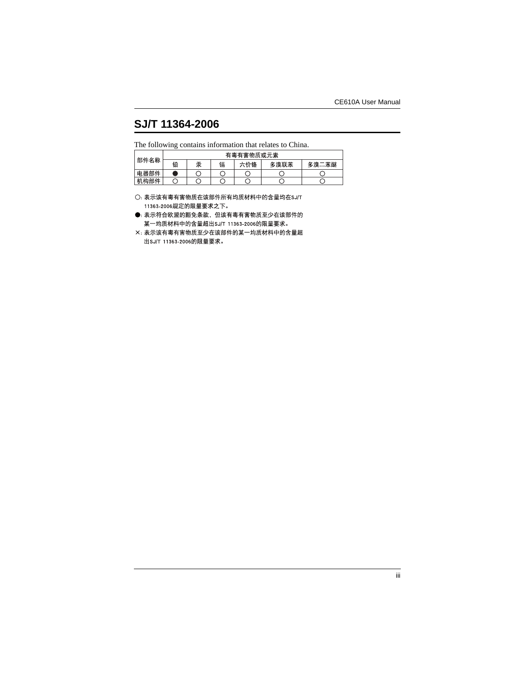## <span id="page-2-0"></span>**SJ/T 11364-2006**

The following contains information that relates to China.

|      |   |   |   | 有毒有害物质或元素 |      |       |
|------|---|---|---|-----------|------|-------|
| 部件名称 | 铅 | 汞 | 镉 | 六价铬       | 多溴联苯 | 多溴二苯醚 |
| 电器部件 |   |   |   |           |      |       |
| 机构部件 |   |   |   |           |      |       |

○: 表示该有毒有害物质在该部件所有均质材料中的含量均在SJ/T 11363-2006规定的限量要求之下。

●: 表示符合欧盟的豁免条款, 但该有毒有害物质至少在该部件的 某一均质材料中的含量超出SJ/T 11363-2006的限量要求。

X: 表示该有毒有害物质至少在该部件的某一均质材料中的含量超 出SJ/T 11363-2006的限量要求。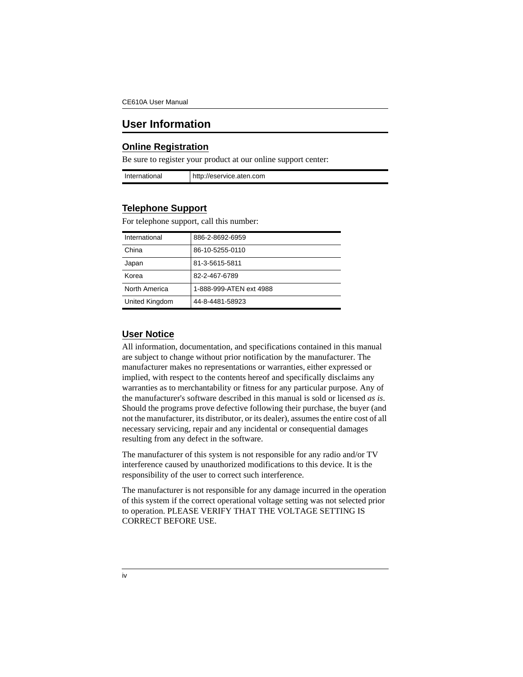## <span id="page-3-0"></span>**User Information**

#### <span id="page-3-1"></span>**Online Registration**

Be sure to register your product at our online support center:

| International | http://eservice.aten.com |
|---------------|--------------------------|

#### <span id="page-3-4"></span><span id="page-3-2"></span>**Telephone Support**

| International  | 886-2-8692-6959         |
|----------------|-------------------------|
| China          | 86-10-5255-0110         |
| Japan          | 81-3-5615-5811          |
| Korea          | 82-2-467-6789           |
| North America  | 1-888-999-ATEN ext 4988 |
| United Kingdom | 44-8-4481-58923         |

For telephone support, call this number:

### <span id="page-3-3"></span>**User Notice**

All information, documentation, and specifications contained in this manual are subject to change without prior notification by the manufacturer. The manufacturer makes no representations or warranties, either expressed or implied, with respect to the contents hereof and specifically disclaims any warranties as to merchantability or fitness for any particular purpose. Any of the manufacturer's software described in this manual is sold or licensed *as is*. Should the programs prove defective following their purchase, the buyer (and not the manufacturer, its distributor, or its dealer), assumes the entire cost of all necessary servicing, repair and any incidental or consequential damages resulting from any defect in the software.

The manufacturer of this system is not responsible for any radio and/or TV interference caused by unauthorized modifications to this device. It is the responsibility of the user to correct such interference.

The manufacturer is not responsible for any damage incurred in the operation of this system if the correct operational voltage setting was not selected prior to operation. PLEASE VERIFY THAT THE VOLTAGE SETTING IS CORRECT BEFORE USE.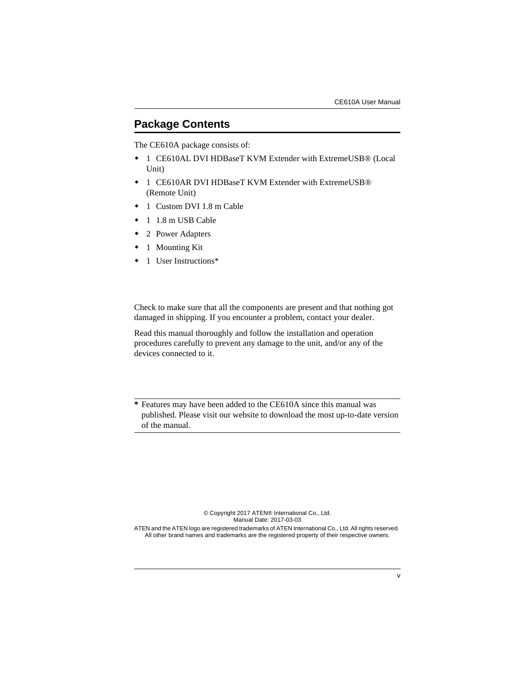## <span id="page-4-0"></span>**Package Contents**

The CE610A package consists of:

- 1 CE610AL DVI HDBaseT KVM Extender with ExtremeUSB® (Local Unit)
- 1 CE610AR DVI HDBaseT KVM Extender with ExtremeUSB® (Remote Unit)
- 1 Custom DVI 1.8 m Cable
- $\div$  1.18 m USB Cable
- 2 Power Adapters
- 1 Mounting Kit
- ◆ 1 User Instructions\*

Check to make sure that all the components are present and that nothing got damaged in shipping. If you encounter a problem, contact your dealer.

Read this manual thoroughly and follow the installation and operation procedures carefully to prevent any damage to the unit, and/or any of the devices connected to it.

**\*** Features may have been added to the CE610A since this manual was published. Please visit our website to download the most up-to-date version of the manual.

> © Copyright 2017 ATEN® International Co., Ltd. Manual Date: 2017-03-03

ATEN and the ATEN logo are registered trademarks of ATEN International Co., Ltd. All rights reserved. All other brand names and trademarks are the registered property of their respective owners.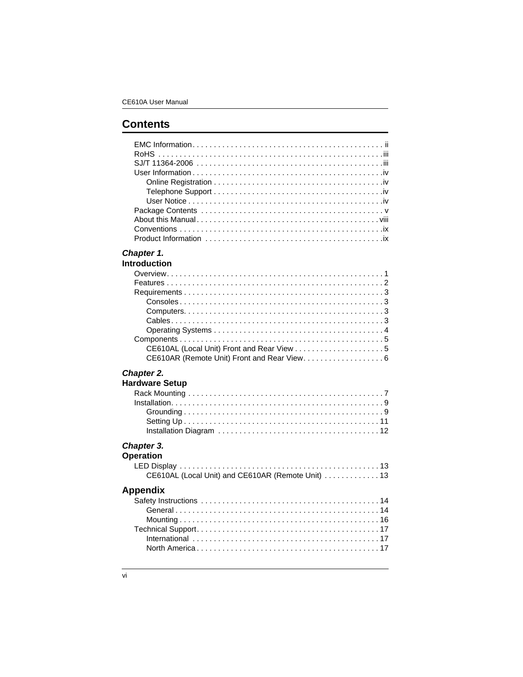# **Contents**

| Chapter 1.                                        |
|---------------------------------------------------|
| <b>Introduction</b>                               |
|                                                   |
|                                                   |
|                                                   |
|                                                   |
|                                                   |
|                                                   |
|                                                   |
|                                                   |
|                                                   |
| CE610AR (Remote Unit) Front and Rear View. 6      |
| Chapter 2.                                        |
| <b>Hardware Setup</b>                             |
|                                                   |
|                                                   |
|                                                   |
|                                                   |
|                                                   |
|                                                   |
| Chapter 3.                                        |
| <b>Operation</b>                                  |
|                                                   |
| CE610AL (Local Unit) and CE610AR (Remote Unit) 13 |
| <b>Appendix</b>                                   |
|                                                   |

| PPYINIA |  |  |
|---------|--|--|
|         |  |  |
|         |  |  |
|         |  |  |
|         |  |  |
|         |  |  |
|         |  |  |
|         |  |  |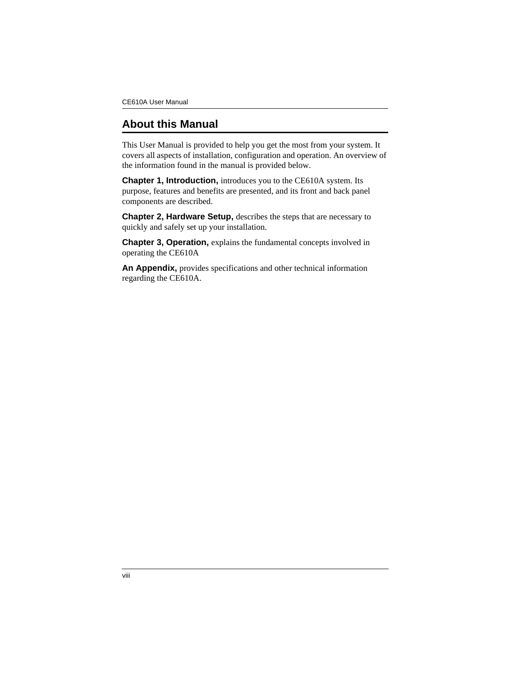## <span id="page-7-0"></span>**About this Manual**

This User Manual is provided to help you get the most from your system. It covers all aspects of installation, configuration and operation. An overview of the information found in the manual is provided below.

**Chapter 1, Introduction, introduces you to the CE610A system. Its** purpose, features and benefits are presented, and its front and back panel components are described.

**Chapter 2, Hardware Setup,** describes the steps that are necessary to quickly and safely set up your installation.

**Chapter 3, Operation, explains the fundamental concepts involved in** operating the CE610A

**An Appendix,** provides specifications and other technical information regarding the CE610A.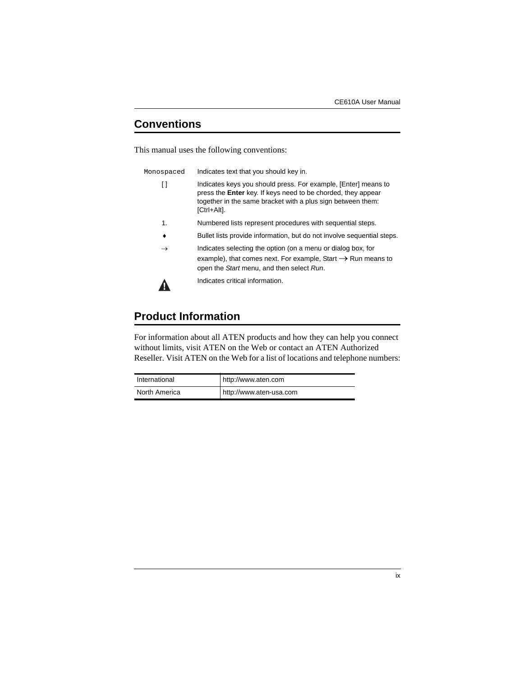## <span id="page-8-0"></span>**Conventions**

This manual uses the following conventions:

| Monospaced | Indicates text that you should key in. |  |
|------------|----------------------------------------|--|
|            |                                        |  |

- [ ] Indicates keys you should press. For example, [Enter] means to press the **Enter** key. If keys need to be chorded, they appear together in the same bracket with a plus sign between them: [Ctrl+Alt].
- 1. Numbered lists represent procedures with sequential steps.
- Bullet lists provide information, but do not involve sequential steps.
- $\rightarrow$  Indicates selecting the option (on a menu or dialog box, for example), that comes next. For example, Start  $\rightarrow$  Run means to open the *Start* menu, and then select *Run*.

А

Indicates critical information.

## <span id="page-8-1"></span>**Product Information**

For information about all ATEN products and how they can help you connect without limits, visit ATEN on the Web or contact an ATEN Authorized Reseller. Visit ATEN on the Web for a list of locations and telephone numbers:

| International | http://www.aten.com     |
|---------------|-------------------------|
| North America | http://www.aten-usa.com |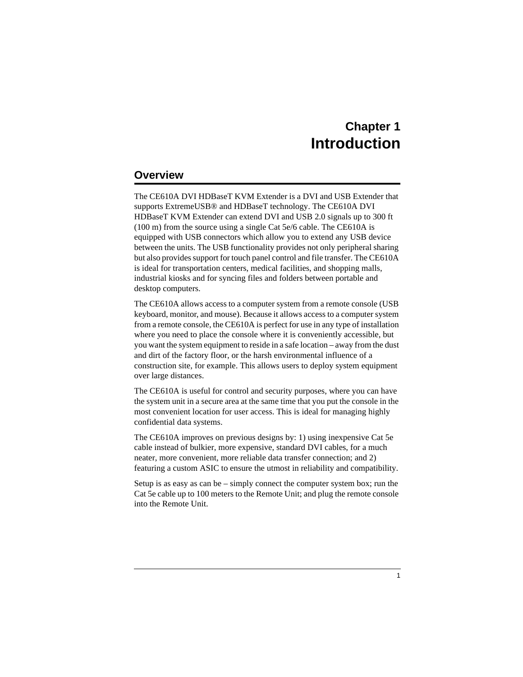# **Chapter 1 Introduction**

## <span id="page-9-1"></span><span id="page-9-0"></span>**Overview**

The CE610A DVI HDBaseT KVM Extender is a DVI and USB Extender that supports ExtremeUSB® and HDBaseT technology. The CE610A DVI HDBaseT KVM Extender can extend DVI and USB 2.0 signals up to 300 ft (100 m) from the source using a single Cat 5e/6 cable. The CE610A is equipped with USB connectors which allow you to extend any USB device between the units. The USB functionality provides not only peripheral sharing but also provides support for touch panel control and file transfer. The CE610A is ideal for transportation centers, medical facilities, and shopping malls, industrial kiosks and for syncing files and folders between portable and desktop computers.

The CE610A allows access to a computer system from a remote console (USB keyboard, monitor, and mouse). Because it allows access to a computer system from a remote console, the CE610A is perfect for use in any type of installation where you need to place the console where it is conveniently accessible, but you want the system equipment to reside in a safe location – away from the dust and dirt of the factory floor, or the harsh environmental influence of a construction site, for example. This allows users to deploy system equipment over large distances.

The CE610A is useful for control and security purposes, where you can have the system unit in a secure area at the same time that you put the console in the most convenient location for user access. This is ideal for managing highly confidential data systems.

The CE610A improves on previous designs by: 1) using inexpensive Cat 5e cable instead of bulkier, more expensive, standard DVI cables, for a much neater, more convenient, more reliable data transfer connection; and 2) featuring a custom ASIC to ensure the utmost in reliability and compatibility.

Setup is as easy as can be – simply connect the computer system box; run the Cat 5e cable up to 100 meters to the Remote Unit; and plug the remote console into the Remote Unit.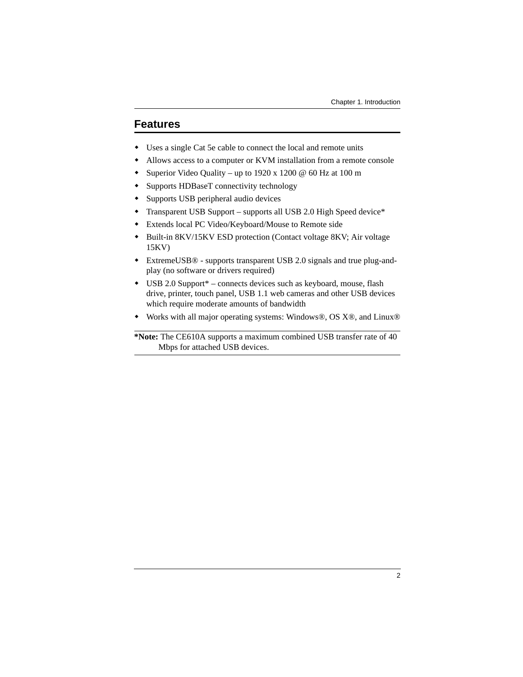## <span id="page-10-0"></span>**Features**

- Uses a single Cat 5e cable to connect the local and remote units
- Allows access to a computer or KVM installation from a remote console
- Superior Video Quality up to 1920 x 1200 @ 60 Hz at 100 m
- Supports HDBaseT connectivity technology
- Supports USB peripheral audio devices
- Transparent USB Support supports all USB 2.0 High Speed device\*
- Extends local PC Video/Keyboard/Mouse to Remote side
- Built-in 8KV/15KV ESD protection (Contact voltage 8KV; Air voltage 15KV)
- ExtremeUSB® supports transparent USB 2.0 signals and true plug-andplay (no software or drivers required)
- USB 2.0 Support\* connects devices such as keyboard, mouse, flash drive, printer, touch panel, USB 1.1 web cameras and other USB devices which require moderate amounts of bandwidth
- Works with all major operating systems: Windows®, OS X®, and Linux®

**\*Note:** The CE610A supports a maximum combined USB transfer rate of 40 Mbps for attached USB devices.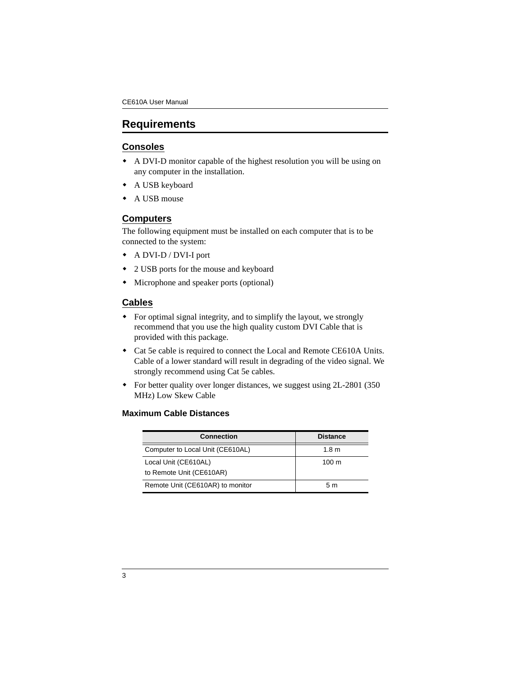## <span id="page-11-0"></span>**Requirements**

#### <span id="page-11-1"></span>**Consoles**

- A DVI-D monitor capable of the highest resolution you will be using on any computer in the installation.
- A USB keyboard
- ◆ A USB mouse

#### <span id="page-11-2"></span>**Computers**

The following equipment must be installed on each computer that is to be connected to the system:

- A DVI-D / DVI-I port
- 2 USB ports for the mouse and keyboard
- Microphone and speaker ports (optional)

#### <span id="page-11-3"></span>**Cables**

- For optimal signal integrity, and to simplify the layout, we strongly recommend that you use the high quality custom DVI Cable that is provided with this package.
- Cat 5e cable is required to connect the Local and Remote CE610A Units. Cable of a lower standard will result in degrading of the video signal. We strongly recommend using Cat 5e cables.
- For better quality over longer distances, we suggest using 2L-2801 (350) MHz) Low Skew Cable

#### **Maximum Cable Distances**

| <b>Connection</b>                                | <b>Distance</b>  |
|--------------------------------------------------|------------------|
| Computer to Local Unit (CE610AL)                 | 1.8 <sub>m</sub> |
| Local Unit (CE610AL)<br>to Remote Unit (CE610AR) | $100 \text{ m}$  |
| Remote Unit (CE610AR) to monitor                 | 5 m              |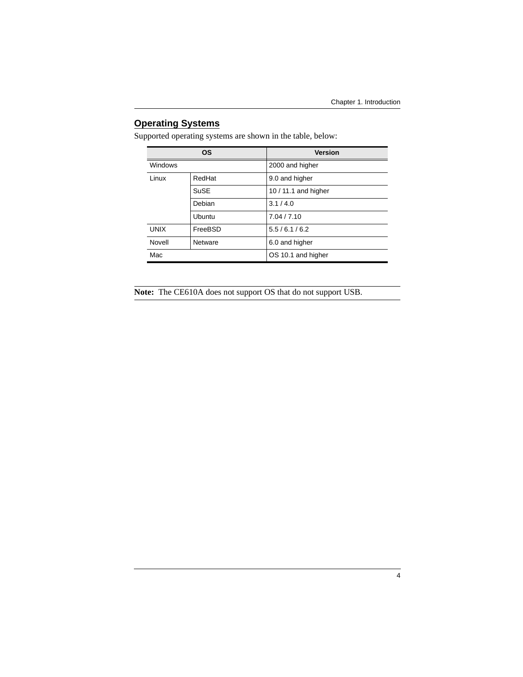## <span id="page-12-0"></span>**Operating Systems**

Supported operating systems are shown in the table, below:

| <b>OS</b>   |               | <b>Version</b>       |  |
|-------------|---------------|----------------------|--|
| Windows     |               | 2000 and higher      |  |
| Linux       | RedHat        | 9.0 and higher       |  |
|             | SuSE          | 10 / 11.1 and higher |  |
|             | Debian        | 3.1/4.0              |  |
|             | <b>Ubuntu</b> | 7.04 / 7.10          |  |
| <b>UNIX</b> | FreeBSD       | 5.5/6.1/6.2          |  |
| Novell      | Netware       | 6.0 and higher       |  |
| Mac         |               | OS 10.1 and higher   |  |

**Note:** The CE610A does not support OS that do not support USB.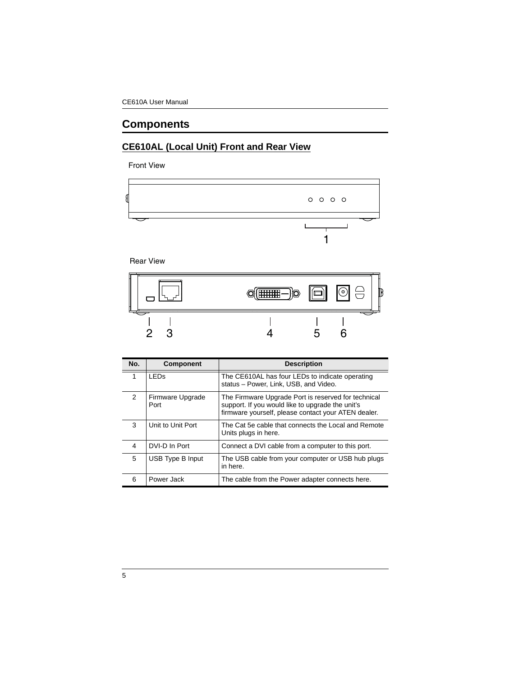# <span id="page-13-0"></span>**Components**

### <span id="page-13-1"></span>**CE610AL (Local Unit) Front and Rear View**

Front View



Rear View



| No.           | <b>Component</b>         | <b>Description</b>                                                                                                                                             |
|---------------|--------------------------|----------------------------------------------------------------------------------------------------------------------------------------------------------------|
| 1             | I FDs                    | The CE610AL has four LEDs to indicate operating<br>status - Power, Link, USB, and Video.                                                                       |
| $\mathcal{P}$ | Firmware Upgrade<br>Port | The Firmware Upgrade Port is reserved for technical<br>support. If you would like to upgrade the unit's<br>firmware yourself, please contact your ATEN dealer. |
| 3             | Unit to Unit Port        | The Cat 5e cable that connects the Local and Remote<br>Units plugs in here.                                                                                    |
| 4             | DVI-D In Port            | Connect a DVI cable from a computer to this port.                                                                                                              |
| 5             | USB Type B Input         | The USB cable from your computer or USB hub plugs<br>in here.                                                                                                  |
| 6             | Power Jack               | The cable from the Power adapter connects here.                                                                                                                |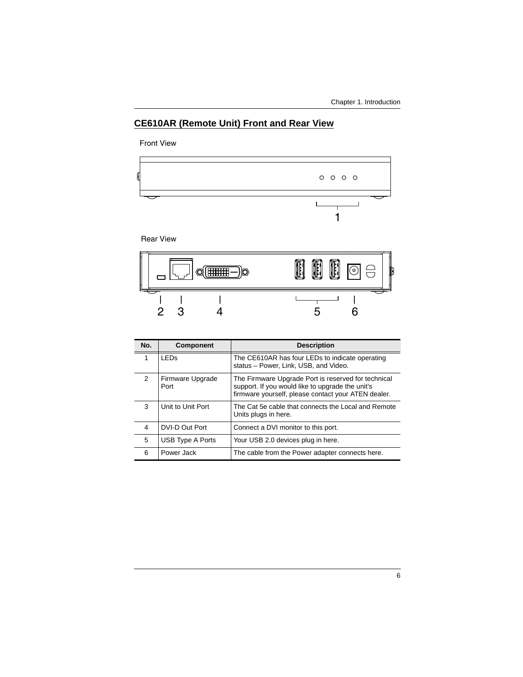### <span id="page-14-0"></span>**CE610AR (Remote Unit) Front and Rear View**

Front View



Rear View



| No.           | Component                | <b>Description</b>                                                                                                                                             |
|---------------|--------------------------|----------------------------------------------------------------------------------------------------------------------------------------------------------------|
| 1             | <b>LED<sub>s</sub></b>   | The CE610AR has four LEDs to indicate operating<br>status - Power, Link, USB, and Video.                                                                       |
| $\mathcal{P}$ | Firmware Upgrade<br>Port | The Firmware Upgrade Port is reserved for technical<br>support. If you would like to upgrade the unit's<br>firmware yourself, please contact your ATEN dealer. |
| 3             | Unit to Unit Port        | The Cat 5e cable that connects the Local and Remote<br>Units plugs in here.                                                                                    |
| 4             | DVI-D Out Port           | Connect a DVI monitor to this port.                                                                                                                            |
| 5             | USB Type A Ports         | Your USB 2.0 devices plug in here.                                                                                                                             |
| 6             | Power Jack               | The cable from the Power adapter connects here.                                                                                                                |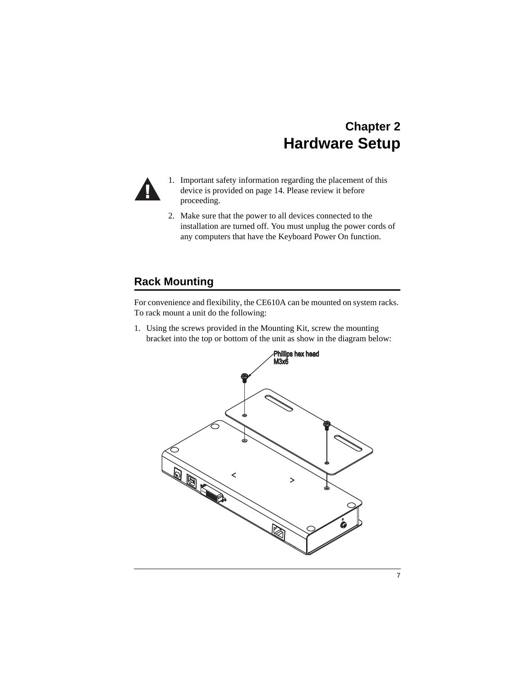# **Chapter 2 Hardware Setup**

<span id="page-15-0"></span>

- 1. Important safety information regarding the placement of this device is provided on [page 14.](#page-22-3) Please review it before proceeding.
- 2. Make sure that the power to all devices connected to the installation are turned off. You must unplug the power cords of any computers that have the Keyboard Power On function.

## <span id="page-15-1"></span>**Rack Mounting**

For convenience and flexibility, the CE610A can be mounted on system racks. To rack mount a unit do the following:

1. Using the screws provided in the Mounting Kit, screw the mounting bracket into the top or bottom of the unit as show in the diagram below:

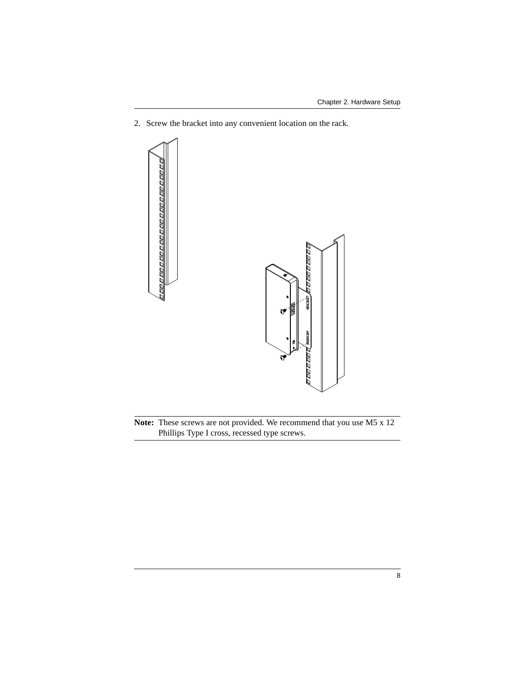2. Screw the bracket into any convenient location on the rack.



**Note:** These screws are not provided. We recommend that you use M5 x 12 Phillips Type I cross, recessed type screws.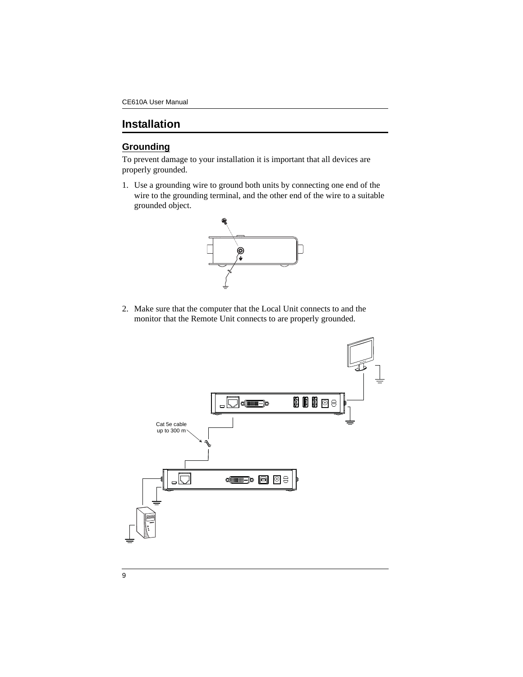## <span id="page-17-0"></span>**Installation**

### <span id="page-17-1"></span>**Grounding**

To prevent damage to your installation it is important that all devices are properly grounded.

1. Use a grounding wire to ground both units by connecting one end of the wire to the grounding terminal, and the other end of the wire to a suitable grounded object.



2. Make sure that the computer that the Local Unit connects to and the monitor that the Remote Unit connects to are properly grounded.

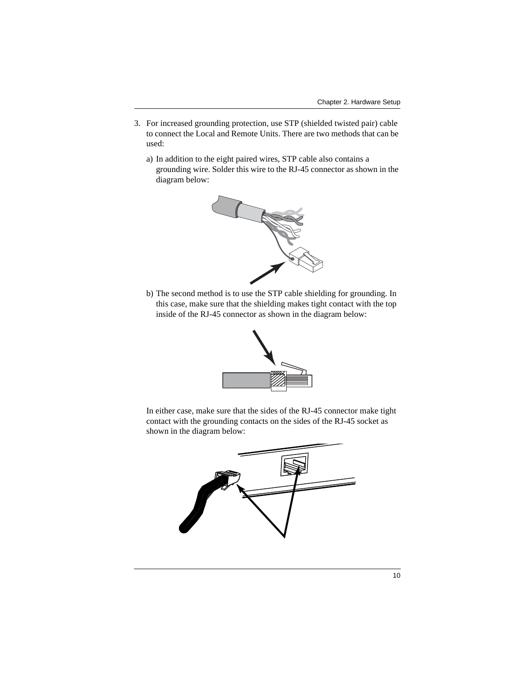- 3. For increased grounding protection, use STP (shielded twisted pair) cable to connect the Local and Remote Units. There are two methods that can be used:
	- a) In addition to the eight paired wires, STP cable also contains a grounding wire. Solder this wire to the RJ-45 connector as shown in the diagram below:



b) The second method is to use the STP cable shielding for grounding. In this case, make sure that the shielding makes tight contact with the top inside of the RJ-45 connector as shown in the diagram below:



In either case, make sure that the sides of the RJ-45 connector make tight contact with the grounding contacts on the sides of the RJ-45 socket as shown in the diagram below:

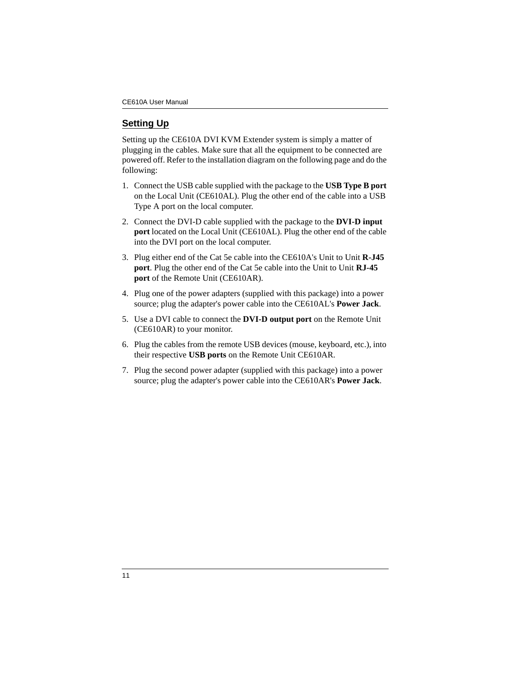### <span id="page-19-0"></span>**Setting Up**

Setting up the CE610A DVI KVM Extender system is simply a matter of plugging in the cables. Make sure that all the equipment to be connected are powered off. Refer to the installation diagram on the following page and do the following:

- 1. Connect the USB cable supplied with the package to the **USB Type B port** on the Local Unit (CE610AL). Plug the other end of the cable into a USB Type A port on the local computer.
- 2. Connect the DVI-D cable supplied with the package to the **DVI-D input port** located on the Local Unit (CE610AL). Plug the other end of the cable into the DVI port on the local computer.
- 3. Plug either end of the Cat 5e cable into the CE610A's Unit to Unit **R-J45 port**. Plug the other end of the Cat 5e cable into the Unit to Unit **RJ-45 port** of the Remote Unit (CE610AR).
- 4. Plug one of the power adapters (supplied with this package) into a power source; plug the adapter's power cable into the CE610AL's **Power Jack**.
- 5. Use a DVI cable to connect the **DVI-D output port** on the Remote Unit (CE610AR) to your monitor.
- 6. Plug the cables from the remote USB devices (mouse, keyboard, etc.), into their respective **USB ports** on the Remote Unit CE610AR.
- 7. Plug the second power adapter (supplied with this package) into a power source; plug the adapter's power cable into the CE610AR's **Power Jack**.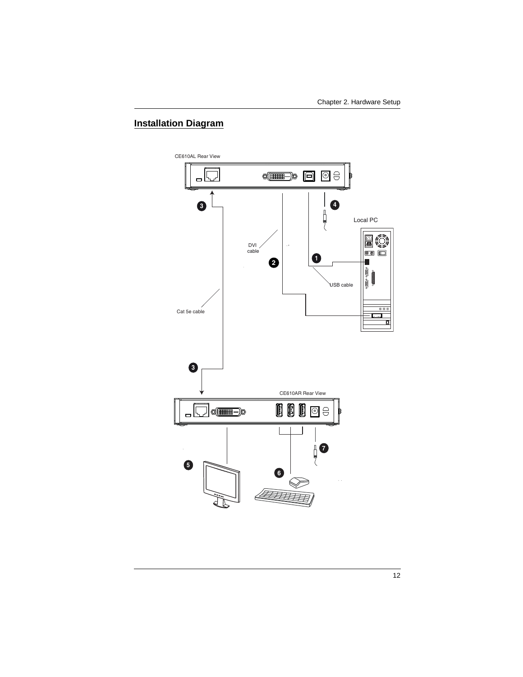### <span id="page-20-0"></span>**Installation Diagram**

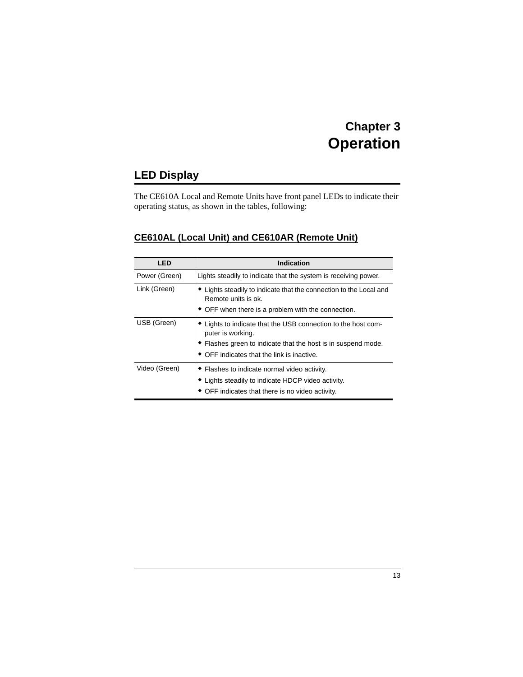# **Chapter 3 Operation**

# <span id="page-21-1"></span><span id="page-21-0"></span>**LED Display**

The CE610A Local and Remote Units have front panel LEDs to indicate their operating status, as shown in the tables, following:

### <span id="page-21-2"></span>**CE610AL (Local Unit) and CE610AR (Remote Unit)**

| LED           | <b>Indication</b>                                                                                                                                                                                 |  |
|---------------|---------------------------------------------------------------------------------------------------------------------------------------------------------------------------------------------------|--|
| Power (Green) | Lights steadily to indicate that the system is receiving power.                                                                                                                                   |  |
| Link (Green)  | Lights steadily to indicate that the connection to the Local and<br>Remote units is ok.<br>• OFF when there is a problem with the connection.                                                     |  |
| USB (Green)   | • Lights to indicate that the USB connection to the host com-<br>puter is working.<br>• Flashes green to indicate that the host is in suspend mode.<br>• OFF indicates that the link is inactive. |  |
| Video (Green) | • Flashes to indicate normal video activity.<br>• Lights steadily to indicate HDCP video activity.<br>• OFF indicates that there is no video activity.                                            |  |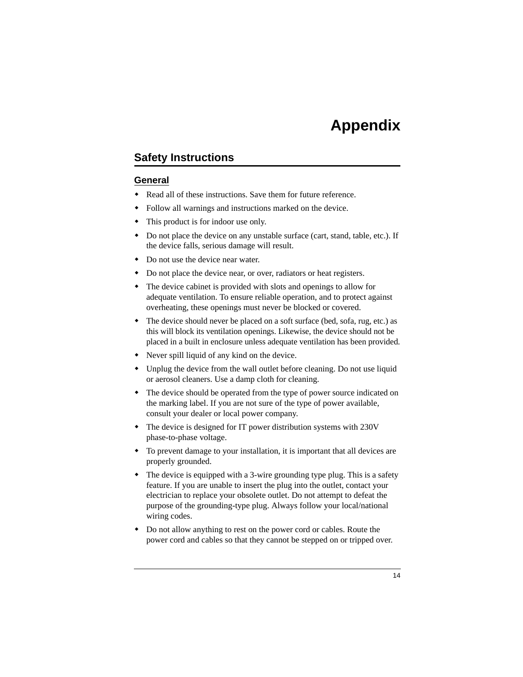# **Appendix**

## <span id="page-22-3"></span><span id="page-22-1"></span><span id="page-22-0"></span>**Safety Instructions**

#### <span id="page-22-2"></span>**General**

- Read all of these instructions. Save them for future reference.
- Follow all warnings and instructions marked on the device.
- This product is for indoor use only.
- Do not place the device on any unstable surface (cart, stand, table, etc.). If the device falls, serious damage will result.
- Do not use the device near water.
- Do not place the device near, or over, radiators or heat registers.
- The device cabinet is provided with slots and openings to allow for adequate ventilation. To ensure reliable operation, and to protect against overheating, these openings must never be blocked or covered.
- The device should never be placed on a soft surface (bed, sofa, rug, etc.) as this will block its ventilation openings. Likewise, the device should not be placed in a built in enclosure unless adequate ventilation has been provided.
- Never spill liquid of any kind on the device.
- Unplug the device from the wall outlet before cleaning. Do not use liquid or aerosol cleaners. Use a damp cloth for cleaning.
- The device should be operated from the type of power source indicated on the marking label. If you are not sure of the type of power available, consult your dealer or local power company.
- The device is designed for IT power distribution systems with 230V phase-to-phase voltage.
- To prevent damage to your installation, it is important that all devices are properly grounded.
- The device is equipped with a 3-wire grounding type plug. This is a safety feature. If you are unable to insert the plug into the outlet, contact your electrician to replace your obsolete outlet. Do not attempt to defeat the purpose of the grounding-type plug. Always follow your local/national wiring codes.
- Do not allow anything to rest on the power cord or cables. Route the power cord and cables so that they cannot be stepped on or tripped over.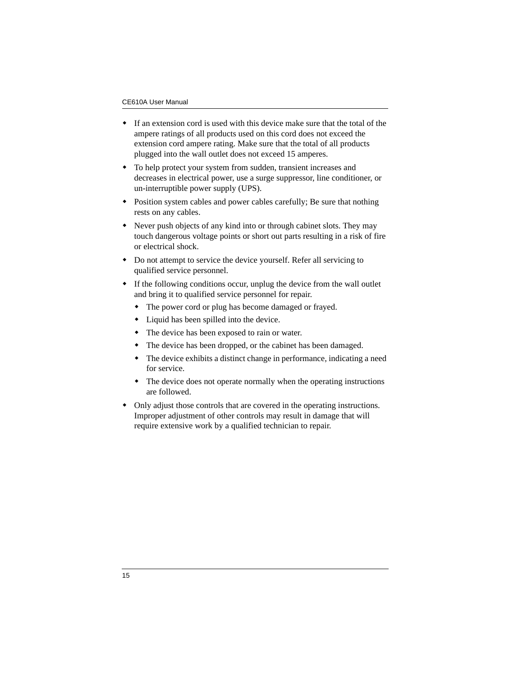- If an extension cord is used with this device make sure that the total of the ampere ratings of all products used on this cord does not exceed the extension cord ampere rating. Make sure that the total of all products plugged into the wall outlet does not exceed 15 amperes.
- To help protect your system from sudden, transient increases and decreases in electrical power, use a surge suppressor, line conditioner, or un-interruptible power supply (UPS).
- Position system cables and power cables carefully; Be sure that nothing rests on any cables.
- Never push objects of any kind into or through cabinet slots. They may touch dangerous voltage points or short out parts resulting in a risk of fire or electrical shock.
- Do not attempt to service the device yourself. Refer all servicing to qualified service personnel.
- If the following conditions occur, unplug the device from the wall outlet and bring it to qualified service personnel for repair.
	- The power cord or plug has become damaged or frayed.
	- Liquid has been spilled into the device.
	- The device has been exposed to rain or water.
	- The device has been dropped, or the cabinet has been damaged.
	- The device exhibits a distinct change in performance, indicating a need for service.
	- The device does not operate normally when the operating instructions are followed.
- Only adjust those controls that are covered in the operating instructions. Improper adjustment of other controls may result in damage that will require extensive work by a qualified technician to repair.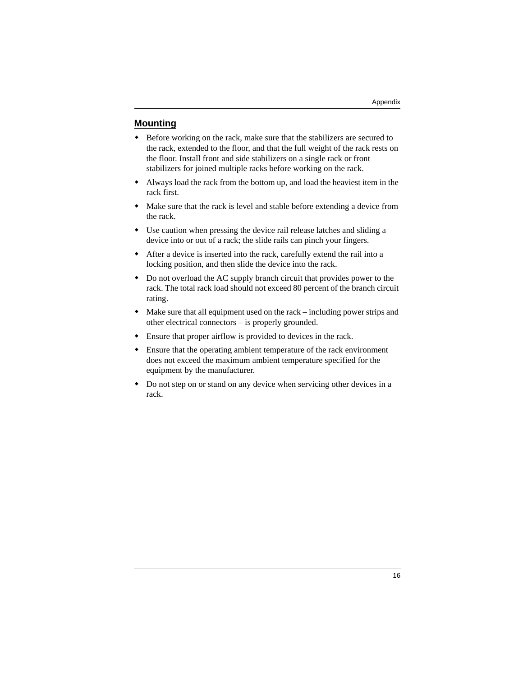#### <span id="page-24-0"></span>**Mounting**

- Before working on the rack, make sure that the stabilizers are secured to the rack, extended to the floor, and that the full weight of the rack rests on the floor. Install front and side stabilizers on a single rack or front stabilizers for joined multiple racks before working on the rack.
- Always load the rack from the bottom up, and load the heaviest item in the rack first.
- Make sure that the rack is level and stable before extending a device from the rack.
- Use caution when pressing the device rail release latches and sliding a device into or out of a rack; the slide rails can pinch your fingers.
- After a device is inserted into the rack, carefully extend the rail into a locking position, and then slide the device into the rack.
- Do not overload the AC supply branch circuit that provides power to the rack. The total rack load should not exceed 80 percent of the branch circuit rating.
- Make sure that all equipment used on the rack including power strips and other electrical connectors – is properly grounded.
- Ensure that proper airflow is provided to devices in the rack.
- Ensure that the operating ambient temperature of the rack environment does not exceed the maximum ambient temperature specified for the equipment by the manufacturer.
- Do not step on or stand on any device when servicing other devices in a rack.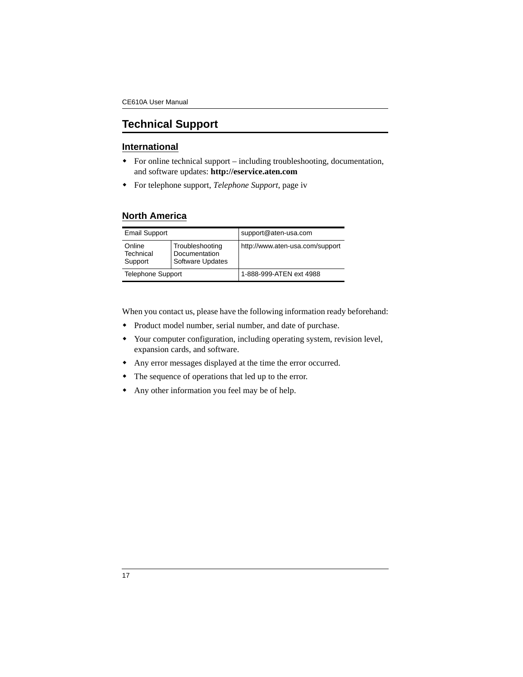## <span id="page-25-0"></span>**Technical Support**

#### <span id="page-25-1"></span>**International**

- For online technical support including troubleshooting, documentation, and software updates: **http://eservice.aten.com**
- For telephone support, *[Telephone Support](#page-3-4)*, page iv

#### <span id="page-25-2"></span>**North America**

| <b>Email Support</b>           |                                                             | support@aten-usa.com            |  |
|--------------------------------|-------------------------------------------------------------|---------------------------------|--|
| Online<br>Technical<br>Support | Troubleshooting<br>Documentation<br><b>Software Updates</b> | http://www.aten-usa.com/support |  |
| <b>Telephone Support</b>       |                                                             | 1-888-999-ATEN ext 4988         |  |

When you contact us, please have the following information ready beforehand:

- Product model number, serial number, and date of purchase.
- Your computer configuration, including operating system, revision level, expansion cards, and software.
- Any error messages displayed at the time the error occurred.
- The sequence of operations that led up to the error.
- Any other information you feel may be of help.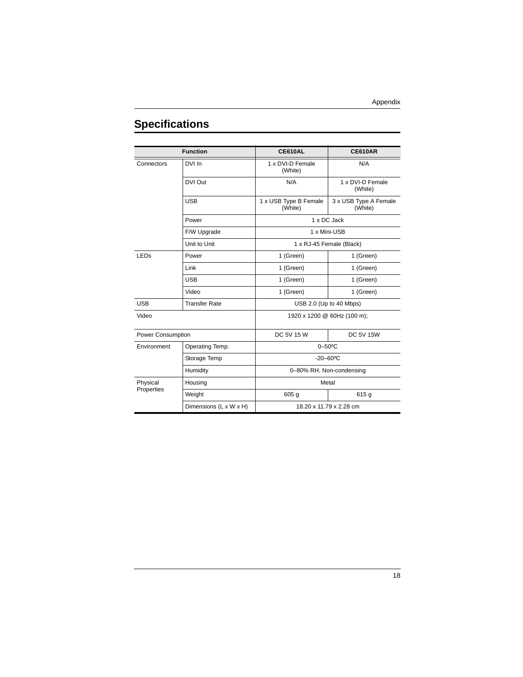# <span id="page-26-0"></span>**Specifications**

| <b>Function</b>        |                        | <b>CE610AL</b>                   | <b>CE610AR</b>                   |  |
|------------------------|------------------------|----------------------------------|----------------------------------|--|
| Connectors             | DVI In                 | 1 x DVI-D Female<br>(White)      | N/A                              |  |
|                        | DVI Out                | N/A                              | 1 x DVI-D Female<br>(White)      |  |
|                        | <b>USB</b>             | 1 x USB Type B Female<br>(White) | 3 x USB Type A Female<br>(White) |  |
|                        | Power                  | 1 x DC Jack                      |                                  |  |
|                        | F/W Upgrade            | 1 x Mini-USB                     |                                  |  |
|                        | Unit to Unit           | 1 x RJ-45 Female (Black)         |                                  |  |
| <b>LED<sub>s</sub></b> | Power                  | 1 (Green)                        | 1 (Green)                        |  |
|                        | Link                   | 1 (Green)                        | 1 (Green)                        |  |
|                        | <b>USB</b>             | 1 (Green)                        | 1 (Green)                        |  |
|                        | Video                  | 1 (Green)                        | 1 (Green)                        |  |
| <b>USB</b>             | <b>Transfer Rate</b>   | USB 2.0 (Up to 40 Mbps)          |                                  |  |
| Video                  |                        | 1920 x 1200 @ 60Hz (100 m);      |                                  |  |
| Power Consumption      |                        | DC 5V 15 W                       | <b>DC 5V 15W</b>                 |  |
| Environment            | Operating Temp.        | $0 - 50$ °C                      |                                  |  |
|                        | Storage Temp           | $-20 - 60$ °C                    |                                  |  |
|                        | Humidity               | 0-80% RH, Non-condensing         |                                  |  |
| Physical<br>Properties | Housing                | Metal                            |                                  |  |
|                        | Weight                 | 605 <sub>g</sub>                 | 615g                             |  |
|                        | Dimensions (L x W x H) | 18.20 x 11.79 x 2.28 cm          |                                  |  |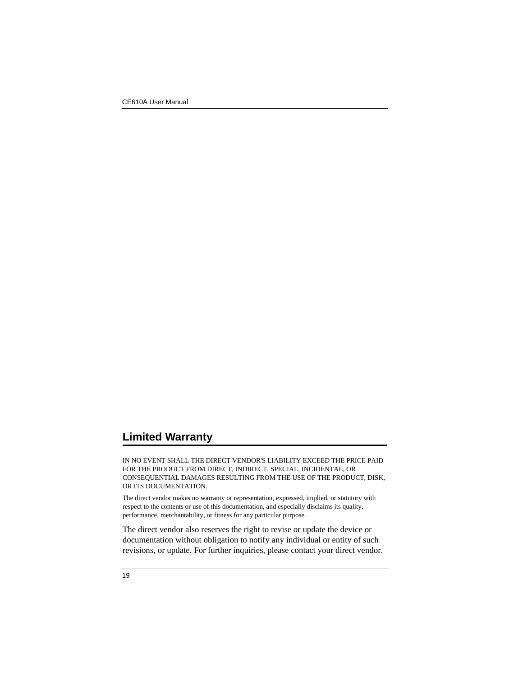## <span id="page-27-0"></span>**Limited Warranty**

IN NO EVENT SHALL THE DIRECT VENDOR'S LIABILITY EXCEED THE PRICE PAID FOR THE PRODUCT FROM DIRECT, INDIRECT, SPECIAL, INCIDENTAL, OR CONSEQUENTIAL DAMAGES RESULTING FROM THE USE OF THE PRODUCT, DISK, OR ITS DOCUMENTATION.

The direct vendor makes no warranty or representation, expressed, implied, or statutory with respect to the contents or use of this documentation, and especially disclaims its quality, performance, merchantability, or fitness for any particular purpose.

The direct vendor also reserves the right to revise or update the device or documentation without obligation to notify any individual or entity of such revisions, or update. For further inquiries, please contact your direct vendor.